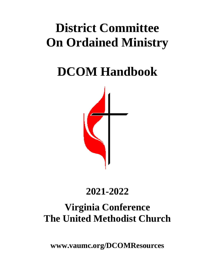# **District Committee On Ordained Ministry**

**DCOM Handbook**



## **2021-2022**

## **Virginia Conference The United Methodist Church**

**www.vaumc.org/DCOMResources**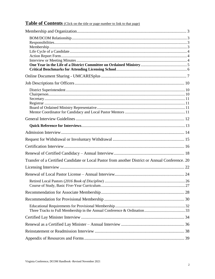## Table of Contents (Click on the title or page number to link to that page)

| Transfer of a Certified Candidate or Local Pastor from another District or Annual Conference. 20 |  |
|--------------------------------------------------------------------------------------------------|--|
|                                                                                                  |  |
|                                                                                                  |  |
|                                                                                                  |  |
|                                                                                                  |  |
|                                                                                                  |  |
|                                                                                                  |  |
|                                                                                                  |  |
|                                                                                                  |  |
|                                                                                                  |  |
|                                                                                                  |  |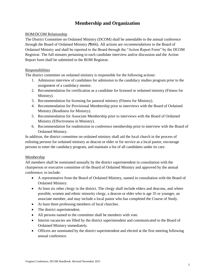## **Membership and Organization**

#### <span id="page-2-1"></span><span id="page-2-0"></span>BOM/DCOM Relationship

The District Committee on Ordained Ministry (DCOM) shall be amendable to the annual conference through the Board of Ordained Ministry (¶666). All actions are *recommendations* to the Board of Ordained Ministry and shall be reported to the Board through the "Action Report Form" by the DCOM Registrar. The full minutes pertaining to each candidate interview and/or discussion and the Action Report form shall be submitted to the BOM Registrar.

#### <span id="page-2-2"></span>Responsibilities

The district committee on ordained ministry is responsible for the following actions:

- 1. Admission interview of candidates for admission to the candidacy studies program prior to the assignment of a candidacy mentor.
- 2. Recommendation for certification as a candidate for licensed or ordained ministry (Fitness for Ministry).
- 3. Recommendation for licensing for pastoral ministry (Fitness for Ministry).
- 4. Recommendation for Provisional Membership prior to interviews with the Board of Ordained Ministry (Readiness for Ministry).
- 5. Recommendation for Associate Membership prior to interviews with the Board of Ordained Ministry (Effectiveness in Ministry).
- 6. Recommendation for readmission to conference membership prior to interview with the Board of Ordained Ministry.

In addition, the district committee on ordained ministry shall aid the local church in the process of enlisting persons for ordained ministry as deacon or elder or for service as a local pastor, encourage persons to enter the candidacy program, and maintain a list of all candidates under its care.

#### <span id="page-2-3"></span>Membership

All members shall be nominated annually by the district superintendent in consultation with the chairperson or executive committee of the Board of Ordained Ministry and approved by the annual conference; to include:

- A representative from the Board of Ordained Ministry, named in consultation with the Board of Ordained Ministry.
- At least six other clergy in the district. The clergy shall include elders and deacons, and where possible, women and ethnic minority clergy, a deacon or elder who is age 35 or younger, an associate member, and may include a local pastor who has completed the Course of Study.
- At least three professing members of local churches.
- The district superintendent.
- All persons named to the committee shall be members with vote.
- Interim vacancies are filled by the district superintendent and communicated to the Board of Ordained Ministry immediately.
- Officers are nominated by the district superintendent and elected at the first meeting following annual conference.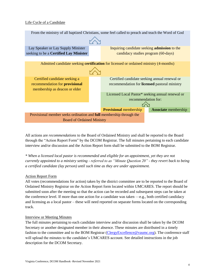#### <span id="page-3-0"></span>Life Cycle of a Candidate



All actions are *recommendations* to the Board of Ordained Ministry and shall be reported to the Board through the "Action Report Form" by the DCOM Registrar. The full minutes pertaining to each candidate interview and/or discussion and the Action Report form shall be submitted to the BOM Registrar.

*\* When a licensed local pastor is recommended and eligible for an appointment, yet they are not currently appointed to a ministry setting - referred to as "Minute Question 20" - they revert back to being a certified candidate (lay person) until such time as they are under appointment.* 

#### <span id="page-3-1"></span>Action Report Form

All votes (recommendations for action) taken by the district committee are to be reported to the Board of Ordained Ministry Registrar on the Action Report form located within UMCARES. The report should be submitted soon after the meeting so that the action can be recorded and subsequent steps can be taken at the conference level. If more than one action for a candidate was taken —e.g., both certified candidacy and licensing as a local pastor – these will need reported on separate forms located on the corresponding track.

#### <span id="page-3-2"></span>Interview or Meeting Minutes

The full minutes pertaining to each candidate interview and/or discussion shall be taken by the DCOM Secretary or another designated member in their absence. These minutes are distributed in a timely fashion to the committee and to the BOM Registrar [\(ClergyExcellence@vaumc.org\)](mailto:ClergyExcellence@vaumc.org). The conference staff will upload the minutes to the candidate's UMCARES account. See detailed instructions in the job description for the DCOM Secretary.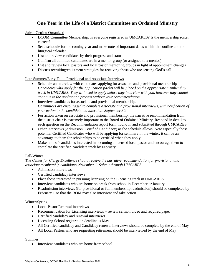## **One Year in the Life of a District Committee on Ordained Ministry**

#### <span id="page-4-0"></span>July – Getting Organized

- DCOM Committee Membership: Is everyone registered in UMCARES? Is the membership roster correct?
- Set a schedule for the coming year and make note of important dates within this outline and the liturgical calendar
- List and review candidates by their progress and status
- Confirm all admitted candidates are in a mentor group (or assigned to a mentor)
- List and review local pastors and local pastor mentoring groups in light of appointment changes
- Discuss recruiting/enlistment strategies for receiving those who are sensing God's call.

#### Late Summer/Early Fall – Provisional and Associate Interviews

- Schedule an interview with candidates applying for associate and provisional membership *Candidates who apply for the application packet will be placed on the appropriate membership track in UMCARES. They will need to apply before they interview with you, however they cannot continue in the application process without your recommendation.*
- Interview candidates for associate and provisional membership. *Committees are encouraged to complete associate and provisional interviews, with notification of your action to the candidate, no later than September 30.*
- For action taken on associate and provisional membership, the narrative recommendation from the district chair is extremely important to the Board of Ordained Ministry. Respond in detail to each question on the Recommendation report form, found in and submitted through UMCARES.
- Other interviews (Admission, Certified Candidacy) as the schedule allows. Note especially those potential Certified Candidates who will be applying for seminary in the winter; it can be an advantage to them for scholarships to be certified when they apply.
- Make note of candidates interested in becoming a licensed local pastor and encourage them to complete the certified candidate track by February.

#### Fall/Winter

*The Center for Clergy Excellence should receive the narrative recommendation for provisional and associate membership candidates November 1. Submit through UMCARES*

- Admission interviews
- Certified candidacy interviews
- Place those interested in pursuing licensing on the Licensing track in UMCARES
- Interview candidates who are home on break from school in December or January
- Readmission interviews (for provisional or full membership readmission) should be completed by February 1 so that the BOM may also interview and take action.

#### Winter/Spring

- Local Pastor Renewal interviews
- Recommendation for Licensing interviews review sermon video and required paper
- Certified candidacy and renewal interviews
- Licensing School registration deadline is May 1
- All Certified candidacy and Candidacy renewal interviews should be complete by the end of May
- All Local Pastors who are requesting retirement should be interviewed by the end of May

#### Summer

• Interview candidates who are home from school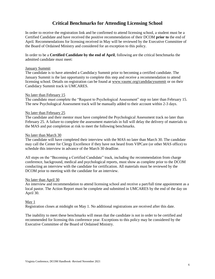## **Critical Benchmarks for Attending Licensing School**

<span id="page-5-0"></span>In order to receive the registration link and be confirmed to attend licensing school, a student must be a Certified Candidate and have received the positive recommendation of their DCOM **prior to** the end of April. Recommendations for licensing received in May will be reviewed by the Executive Committee of the Board of Ordained Ministry and considered for an exception to this policy.

In order to be a **Certified Candidate by the end of April**, following are the critical benchmarks the admitted candidate must meet:

#### January Summit

The candidate is to have attended a Candidacy Summit prior to becoming a certified candidate. The January Summit is the last opportunity to complete this step and receive a recommendation to attend licensing school. Details on registration can be found at [www.vaumc.org/candidacysummit](http://www.vaumc.org/candidacysummit) or on their Candidacy Summit track in UMCARES.

#### No later than February 15

The candidate must complete the "Request to Psychological Assessment" step no later than February 15. The new Psychological Assessment track will be manually added to their account within 2-3 days.

#### No later than February 25

The candidate and their mentor must have completed the Psychological Assessment track no later than February 25. A failure to complete the assessment materials in full will delay the delivery of materials to the MAS and put completion at risk to meet the following benchmarks.

#### No later than March 30

The candidate will have completed their interview with the MAS no later than March 30. The candidate may call the Center for Clergy Excellence if they have not heard from VIPCare (or other MAS office) to schedule this interview in advance of the March 30 deadline.

All steps on the "Becoming a Certified Candidate" track, including the recommendation from charge conference, background, medical and psychological reports, must show as complete prior to the DCOM conducting an interview with the candidate for certification. All materials must be reviewed by the DCOM prior to meeting with the candidate for an interview.

#### No later than April 30

An interview and recommendation to attend licensing school and receive a part/full time appointment as a local pastor. The Action Report must be complete and submitted in UMCARES by the end of the day on April 30.

#### May 1

Registration closes at midnight on May 1. No additional registrations are received after this date.

The inability to meet these benchmarks will mean that the candidate is not in order to be certified and recommended for licensing this conference year. Exceptions to this policy may be considered by the Executive Committee of the Board of Ordained Ministry.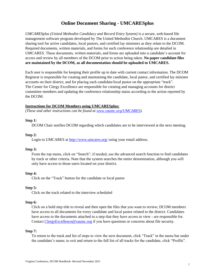## **Online Document Sharing - UMCARESplus**

<span id="page-6-0"></span>*UMCARESplus (United Methodist Candidacy and Record Entry System)* is a secure, web-based file management software program developed by The United Methodist Church. UMCARES is a document sharing tool for active candidates, local pastors, and certified lay ministers as they relate to the DCOM. Required documents, written materials, and forms for each conference relationship are detailed in UMCARES. These documents, written materials, and forms are uploaded into a candidate's account for access and review by all members of the DCOM prior to action being taken. **No paper candidate files are maintained by the DCOM, as all documentation should be uploaded to UMCARES.**

Each user is responsible for keeping their profile up to date with current contact information. The DCOM Registrar is responsible for creating and maintaining the candidate, local pastor, and certified lay minister accounts on their district, and for placing each candidate/local pastor on the appropriate "track". The Center for Clergy Excellence are responsible for creating and managing accounts for district committee members and updating the conference relationship status according to the action reported by the DCOM.

#### **Instructions for DCOM Members using UMCARESplus:**

*(These and other instructions can be found at [www.vaumc.org/UMCARES\)](http://www.vaumc.org/UMCARES).*

#### **Step 1:**

DCOM Chair notifies DCOM regarding which candidates are to be interviewed at the next meeting.

#### **Step 2:**

Login to UMCARES at<http://www.umcares.org/> using your email address.

#### **Step 3:**

From the top menu, click on "Search"; if needed, use the advanced search function to find candidates by track or other criteria. Note that the system searches the entire denomination, although you will only have access to those users located on your district.

#### **Step 4:**

Click on the "Track" button for the candidate or local pastor

#### **Step 5:**

Click on the track related to the interview scheduled

#### **Step 6:**

Click on a bold step title to reveal and then open the files that you want to review; DCOM members have access to all documents for every candidate and local pastor related to the district. Candidates have access to the documents attached to a step that they have access to view - are responsible for. Contact [ClergyExcellence@vaumc.org](mailto:ClergyExcellence@vaumc.org) if you have questions or concerns about file security.

#### **Step 7:**

To return to the track and list of steps to view the next document, click "Track" in the menu bar under the candidate's name; to exit and return to the full list of all tracks for the candidate, click "Profile".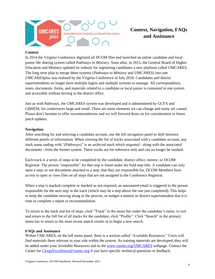

## **Context, Navigation, FAQs and Assistance**

#### **Context**

In 2014 the Virginia Conference digitized all DCOM files and launched an online candidate and local pastor file sharing system called *Pathways to Ministry*. Soon after, in 2015, the General Board of Higher Education and Ministry updated its website for registering candidates a new platform called UMCARES. The long term plan to merge these systems (*Pathways to Ministry* and UMCARES) into one UMCARESplus was realized by the Virginia Conference in July 2018. Candidates and district superintendents no longer have multiple logins and multiple systems to manage. All correspondence, notes, documents, forms, and materials related to a candidate or local pastor is contained in one system and accessible without driving to the district office.

Just as with Pathways, the UMCARES system was developed and is administered by GCFA and GBHEM, for conferences large and small. There are some elements we can change and many we cannot. Please don't hesitate to offer recommendations and we will forward those on for consideration in future patch updates.

#### **Navigation**

After searching for and selecting a candidate account, use the left navigation panel to shift between different panels of information. When viewing the list of tracks associated with a candidate account, any track name ending with "(Pathways)" is an archived track which migrated - along with the associated documents - from the former system. These tracks are for reference only and can no longer be worked.

Each track is a series of steps to be completed by the candidate, district office, mentor, or DCOM Registrar. The person "responsible" for that step is listed under the bold step title. A candidate can only open a step, or see documents attached to a step, that they are responsible for. DCOM Members have access to open or view files on all steps that are not assigned to the Conference Registrar.

When a step is marked complete or marked as not required, an automated email is triggered to the person responsible for the next step in the track (which may be a step above the one just completed). This helps to keep the candidate moving along in the process, or nudges a mentor or district superintendent that it is time to complete a report or recommendation.

To return to the track and list of steps, click "Track" in the menu bar under the candidate's name; to exit and return to the full list of all tracks for the candidate, click "Profile". Click "Search" in the primary menu bar to return to the most recent search results or to begin a new search.

#### **FAQs and Assistance**

Within UMCARES, on the left menu panel, there is a section called "Available Resources." Users will find materials there relevant to your role within the system. As training materials are developed, they will be added under your Available Resources and to the [www.vaumc.org/UMCARES](http://www.vaumc.org/UMCARES) webpage. Contact the Center for [ClergyExcellence@vaumc.org](mailto:ClergyExcellence@vaumc.org) if you have specific technical questions or feedback.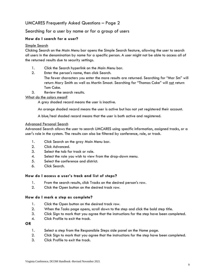## UMCARES Frequently Asked Questions – Page 2

#### Searching for a user by name or for a group of users

#### **How do I search for a user?**

#### Simple Search

Clicking Search on the Main Menu bar opens the Simple Search feature, allowing the user to search all users in the denomination by name for a specific person. A user might not be able to access all of the returned results due to security settings.

- 1. Click the Search hyperlink on the Main Menu bar.
- 2. Enter the person's name, then click Search.
	- The fewer characters you enter the more results are returned. Searching for "Mar Sm" will return Mary Smith as well as Martin Smoot. Searching for "Thomas Coke" will not return Tom Coke.
- 3. Review the search results.

#### What do the colors mean?

A grey shaded record means the user is inactive.

An orange shaded record means the user is active but has not yet registered their account.

A blue/teal shaded record means that the user is both active and registered.

#### Advanced Personal Search

Advanced Search allows the user to search UMCARES using specific information, assigned tracks, or a user's role in the system. The results can also be filtered by conference, role, or track.

- 1. Click Search on the gray Main Menu bar.
- 2. Click Advanced.
- 3. Select the tab for track or role.
- 4. Select the role you wish to view from the drop-down menu.
- 5. Select the conference and district.
- 6. Click Search.

#### **How do I access a user's track and list of steps?**

- 1. From the search results, click Tracks on the desired person's row.
- 2. Click the Open button on the desired track row.

#### **How do I mark a step as complete?**

- 1. Click the Open button on the desired track row.
- 2. When the Tasks page opens, scroll down to the step and click the bold step title.
- 3. Click Sign to mark that you agree that the instructions for the step have been completed.
- 4. Click Profile to exit the track.

#### **OR**

- 1. Select a step from the Responsible Steps side panel on the Home page.
- 2. Click Sign to mark that you agree that the instructions for the step have been completed.
- 3. Click Profile to exit the track.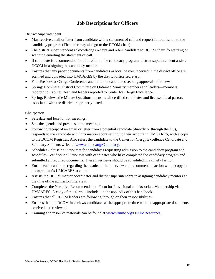## **Job Descriptions for Officers**

#### <span id="page-9-1"></span><span id="page-9-0"></span>District Superintendent

- May receive email or letter from candidate with a statement of call and request for admission to the candidacy program (The letter may also go to the DCOM chair).
- The district superintendent acknowledges receipt and refers candidate to DCOM chair, forwarding or scanning/emailing the statement of call.
- If candidate is recommended for admission to the candidacy program, district superintendent assists DCOM in assigning the candidacy mentor.
- Ensures that any paper documents from candidates or local pastors received in the district office are scanned and uploaded into UMCARES by the district office secretary.
- Fall: Presides at Charge Conference and monitors candidates seeking approval and renewal.
- Spring: Nominates District Committee on Ordained Ministry members and leaders—members reported to Cabinet Dean and leaders reported to Center for Clergy Excellence.
- Spring: Reviews the Minute Questions to ensure all certified candidates and licensed local pastors associated with the district are properly listed.

#### <span id="page-9-2"></span>Chairperson

- Sets date and location for meetings.
- Sets the agenda and presides at the meetings.
- Following receipt of an email or letter from a potential candidate (directly or through the DS), responds to the candidate with information about setting up their account in UMCARES, with a copy to the DCOM Registrar. Also refers the candidate to the Center for Clergy Excellence Candidate and Seminary Students website: [www.vaumc.org/Candidacy.](file://///Srifs1/Ministerial%20Services/District%20Committees%20on%20Ordained%20Ministry/Handbook/www.vaumc.org/Candidacy)
- Schedules *Admission Interviews* for candidates requesting admission to the candidacy program and schedules *Certification Interviews* with candidates who have completed the candidacy program and submitted all required documents. These interviews should be scheduled in a timely fashion.
- Emails each candidate regarding the results of the interview and recommended action with a copy in the candidate's UMCARES account.
- Assists the DCOM mentor coordinator and district superintendent in assigning candidacy mentors at the time of the admission interview.
- Completes the Narrative Recommendation Form for Provisional and Associate Membership via UMCARES. A copy of this form is included in the appendix of this handbook.
- Ensures that all DCOM leaders are following through on their responsibilities.
- Ensures that the DCOM interviews candidates at the appropriate time with the appropriate documents received and reviewed.
- Training and resource materials can be found at [www.vaumc.org/DCOMResources](http://www.vaumc.org/DCOMResources)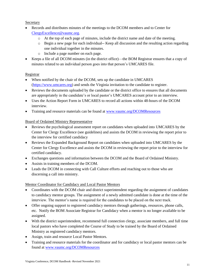<span id="page-10-0"></span>**Secretary** 

- Records and distributes minutes of the meetings to the DCOM members and to Center for [ClergyExcellence@vaumc.org.](mailto:ClergyExcellence@vaumc.org)
	- o At the top of each page of minutes, include the district name and date of the meeting.
	- o Begin a new page for each individual-- Keep all discussion and the resulting action regarding one individual together in the minutes.
	- o Include a page number on each page.
- Keeps a file of all DCOM minutes (in the district office)—the BOM Registrar ensures that a copy of minutes related to an individual person goes into that person's UMCARES file.

#### <span id="page-10-1"></span>Registrar

- When notified by the chair of the DCOM, sets up the candidate in UMCARES [\(https://www.umcares.org\)](https://www.umcares.org/) and sends the Virginia invitation to the candidate to register.
- Reviews the documents uploaded by the candidate or the district office to ensures that all documents are appropriately in the candidate's or local pastor's UMCARES account prior to an interview.
- Uses the Action Report Form in UMCARES to record all actions within 48-hours of the DCOM interview.
- Training and resource materials can be found at [www.vaumc.org/DCOMResources](http://www.vaumc.org/DCOMResources)

#### <span id="page-10-2"></span>Board of Ordained Ministry Representative

- Reviews the psychological assessment report on candidates when uploaded into UMCARES by the Center for Clergy Excellence (see guidelines) and assists the DCOM in reviewing the report prior to the interview for certified candidacy
- Reviews the Expanded Background Report on candidates when uploaded into UMCARES by the Center for Clergy Excellence and assists the DCOM in reviewing the report prior to the interview for certified candidacy.
- Exchanges questions and information between the DCOM and the Board of Ordained Ministry.
- Assists in training members of the DCOM.
- Leads the DCOM in connecting with Call Culture efforts and reaching out to those who are discerning a call into ministry.

#### <span id="page-10-3"></span>Mentor Coordinator for Candidacy and Local Pastor Mentors

- Coordinates with the DCOM chair and district superintendent regarding the assignment of candidates to candidacy mentor groups. The assignment of a newly admitted candidate is done at the time of the interview. The mentor's name is required for the candidates to be placed on the next track.
- Offer ongoing support to registered candidacy mentors through gatherings, resources, phone calls, etc. Notify the BOM Associate Registrar for Candidacy when a mentor is no longer available to be assigned.
- With the district superintendent, recommend full connection clergy, associate members, and full time local pastors who have completed the Course of Study to be trained by the Board of Ordained Ministry as registered candidacy mentors.
- Assign, train and resource Local Pastor Mentors.
- Training and resource materials for the coordinator and for candidacy or local pastor mentors can be found at [www.vaumc.org/DCOMResources](http://www.vaumc.org/DCOMResources)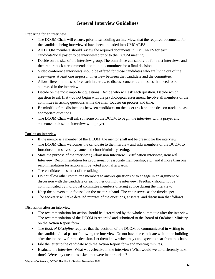## **General Interview Guidelines**

<span id="page-11-0"></span>Preparing for an interview

- The DCOM Chair will ensure, prior to scheduling an interview, that the required documents for the candidate being interviewed have been uploaded into UMCARES.
- All DCOM members should review the required documents in UMCARES for each candidate/local pastor to be interviewed prior to the DCOM meeting.
- Decide on the size of the interview group. The committee can subdivide for most interviews and then report back a recommendation to total committee for a final decision.
- Video conference interviews should be offered for those candidates who are living out of the area—*after* at least one in-person interview between that candidate and the committee.
- Allow fifteen minutes before each interview to discuss concerns and issues that need to be addressed in the interview.
- Decide on the most important questions. Decide who will ask each question. Decide which question to ask first - do not begin with the psychological assessment. Involve all members of the committee in asking questions while the chair focuses on process and time.
- Be mindful of the distinctions between candidates on the elder track and the deacon track and ask appropriate questions.
- The DCOM Chair will ask someone on the DCOM to begin the interview with a prayer and someone to close the interview with prayer.

#### During an interview

- If the mentor is a member of the DCOM, the mentor shall not be present for the interview.
- The DCOM Chair welcomes the candidate to the interview and asks members of the DCOM to introduce themselves, by name and church/ministry setting.
- State the purpose of the interview (Admission Interview, Certification Interview, Renewal Interview, Recommendation for provisional or associate membership, etc.) and if more than one recommendation for action will be voted upon afterwards.
- The candidate does most of the talking.
- Do not allow other committee members to answer questions or to engage in an argument or discussion with the candidate or each other during the interview. Feedback should not be communicated by individual committee members offering advice during the interview.
- Keep the conversation focused on the matter at hand. The chair serves as the timekeeper.
- The secretary will take detailed minutes of the questions, answers, and discussion that follows.

#### Discussion after an interview

- The recommendation for action should be determined by the whole committee after the interview. The recommendation of the DCOM is recorded and submitted to the Board of Ordained Ministry on the Action Report form.
- The *Book of Discipline* requires that the decision of the DCOM be communicated in writing to the candidate/local pastor following the interview. Do not have the candidate wait in the building after the interview for this decision. Let them know when they can expect to hear from the chair.
- File the letter to the candidate with the Action Report form and meeting minutes.
- Evaluate the interview. What was effective in the interview? What would we do differently next time? Were any questions asked that were inappropriate?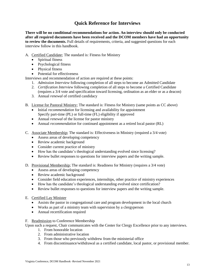## **Quick Reference for Interviews**

<span id="page-12-0"></span>**There will be no conditional recommendations for action. An interview should only be conducted after all required documents have been received and the DCOM members have had an opportunity to review the documents.** Full details of requirements, criteria, and suggested questions for each interview follow in this handbook.

- A. Certified Candidate; The standard is: Fitness for Ministry
	- Spiritual fitness
	- Psychological fitness
	- Physical fitness
	- Potential for effectiveness

Interviews and recommendation of action are required at these points:

- 1. *Admission Interview* following completion of all steps to become an Admitted Candidate
- 2. *Certification Interview* following completion of all steps to become a Certified Candidate (requires a 3/4 vote and specification toward licensing, ordination as an elder or as a deacon)
- 3. Annual *renewal* of certified candidacy
- B. License for Pastoral Ministry; The standard is: Fitness for Ministry (same points as CC above)
	- Initial *recommendation* for licensing and availability for appointment Specify part-time (PL) or full-time (FL) eligibility if approved
	- Annual *renewal* of the license for pastor ministry
	- Annual *recommendation* for continued appointment as a retired local pastor (RL)
- C. Associate Membership; The standard is: Effectiveness in Ministry (required a 3/4 vote)
	- Assess areas of developing competency
	- Review academic background
	- Consider current practice of ministry
	- How has the candidate's theological understanding evolved since licensing?
	- Review bullet responses to questions for interview papers and the writing sample.
- D. Provisional Membership; The standard is: Readiness for Ministry (requires a 3/4 vote)
	- Assess areas of developing competency
	- Review academic background
	- Consider field education experiences, internships, other practice of ministry experiences
	- How has the candidate's theological understanding evolved since certification?
	- Review bullet responses to questions for interview papers and the writing sample.

#### E. Certified Lay Minister

- Assists the pastor in congregational care and program development in the local church
- Works as part of a ministry team with supervision by a clergyperson
- Annual recertification required

#### F. Readmission to Conference Membership

Upon such a request, Chair communicates with the Center for Clergy Excellence prior to any interviews.

- 1. From honorable location
- 2. From administrative location
- 3. From those who previously withdrew from the ministerial office
- 4. From discontinuance/withdrawal as a certified candidate, local pastor, or provisional member.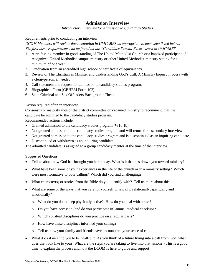## **Admission Interview**

*Introductory Interview for Admission to Candidacy Studies*

#### <span id="page-13-0"></span>Requirements prior to conducting an interview

*DCOM Members will review documentation in UMCARES as appropriate to each step listed below. The first three requirements can be found on the "Candidacy Summit Event" track in UMCARES.*

- 1. A professing member in good standing of The United Methodist Church or a baptized participant of a recognized United Methodist campus ministry or other United Methodist ministry setting for a minimum of one year.
- 2. Graduation from an accredited high school or certificate of equivalency.
- 3. Review of The Christian as Minister and Understanding God's Call: A Ministry Inquiry Process with a clergyperson, if needed.
- 4. Call statement and request for admission to candidacy studies program.
- 5. Biographical Form (GBHEM Form 102)
- 6. State Criminal and Sex Offenders Background Check

#### Action required after an interview

Consensus or majority vote of the district committee on ordained ministry to recommend that the candidate be admitted to the candidacy studies program.

Recommended actions include:

- Granted admission to the candidacy studies program (1310.1b)
- Not granted admission to the candidacy studies program and will return for a secondary interview
- Not granted admission to the candidacy studies program and is discontinued as an inquiring candidate
- Discontinued or withdrawn as an inquiring candidate

The admitted candidate is assigned to a group candidacy mentor at the time of the interview.

- Tell us about how God has brought you here today. What is it that has drawn you toward ministry?
- What have been some of your experiences in the life of the church or in a ministry setting? Which were most formative to your calling? Which did you find challenging?
- What character(s) or stories from the Bible do you identify with? Tell us more about this.
- What are some of the ways that you care for yourself physically, relationally, spiritually and emotionally?
	- o What do you do to keep physically active? How do you deal with stress?
	- o Do you have access to (and do you participate in) annual medical checkups?
	- o Which spiritual disciplines do you practice on a regular basis?
	- o How have these disciplines informed your calling?
	- o Tell us how your family and friends have encountered your sense of call.
- What does it mean to you to be "called"? As you think of a future living into a call from God, what does that look like to you? What are the steps you are taking to live into that vision? (This is a good time to explain the process and how the DCOM is here to guide and support).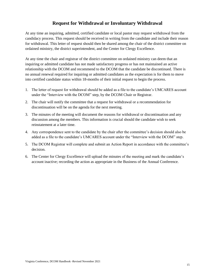## **Request for Withdrawal or Involuntary Withdrawal**

<span id="page-14-0"></span>At any time an inquiring, admitted, certified candidate or local pastor may request withdrawal from the candidacy process. This request should be received in writing from the candidate and include their reason for withdrawal. This letter of request should then be shared among the chair of the district committee on ordained ministry, the district superintendent, and the Center for Clergy Excellence.

At any time the chair and registrar of the district committee on ordained ministry can deem that an inquiring or admitted candidate has not made satisfactory progress or has not maintained an active relationship with the DCOM and recommend to the DCOM that the candidate be discontinued. There is no annual renewal required for inquiring or admitted candidates as the expectation is for them to move into certified candidate status within 18-months of their initial request to begin the process.

- 1. The letter of request for withdrawal should be added as a file to the candidate's UMCARES account under the "Interview with the DCOM" step, by the DCOM Chair or Registrar.
- 2. The chair will notify the committee that a request for withdrawal or a recommendation for discontinuation will be on the agenda for the next meeting.
- 3. The minutes of the meeting will document the reasons for withdrawal or discontinuation and any discussion among the members. This information is crucial should the candidate wish to seek reinstatement at a later time.
- 4. Any correspondence sent to the candidate by the chair after the committee's decision should also be added as a file to the candidate's UMCARES account under the "Interview with the DCOM" step.
- 5. The DCOM Registrar will complete and submit an Action Report in accordance with the committee's decision.
- 6. The Center for Clergy Excellence will upload the minutes of the meeting and mark the candidate's account inactive; recording the action as appropriate in the Business of the Annual Conference.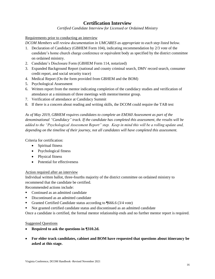## **Certification Interview**

*Certified Candidate Interview for Licensed or Ordained Ministry*

<span id="page-15-0"></span>Requirements prior to conducting an interview

*DCOM Members will review documentation in UMCARES as appropriate to each step listed below.* 

- 1. Declaration of Candidacy (GBHEM Form 104), indicating recommendation by 2/3 vote of the candidate's home church charge conference or equivalent body as specified by the district committee on ordained ministry.
- 2. Candidate's Disclosure Form (GBHEM Form 114, notarized)
- 3. Expanded Background Report (national and county criminal search, DMV record search, consumer credit report, and social security trace)
- 4. Medical Report (On the form provided from GBHEM and the BOM)
- 5. Psychological Assessment
- 6. Written report from the mentor indicating completion of the candidacy studies and verification of attendance at a minimum of three meetings with mentor/mentor group.
- 7. Verification of attendance at Candidacy Summit
- 8. If there is a concern about reading and writing skills, the DCOM could require the TAB test

*As of May 2019, GBHEM requires candidates to complete an EM360 Assessment as part of the denominational "Candidacy" track. If the candidate has completed this assessment, the results will be added to the "Psychological Assessment Report" step. Keep in mind this will be a rolling update and, depending on the timeline of their journey, not all candidates will have completed this assessment.* 

Criteria for certification:

- Spiritual fitness
- Psychological fitness
- Physical fitness
- Potential for effectiveness

#### Action required after an interview

Individual written ballot, three-fourths majority of the district committee on ordained ministry to recommend that the candidate be certified.

Recommended actions include:

- Continued as an admitted candidate
- Discontinued as an admitted candidate
- Granted Certified Candidate status according to  $\sqrt{666.6}$  (3/4 vote)
- Not granted certified candidate status and discontinued as an admitted candidate

Once a candidate is certified, the formal mentor relationship ends and no further mentor report is required.

- **Required to ask the questions in ¶310.2d.**
- **For elder track candidates, cabinet and BOM have requested that questions about itinerancy be asked at this stage.**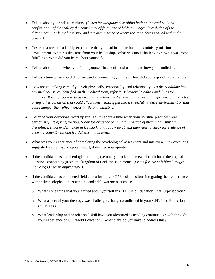- Tell us about your call to ministry. *(Listen for language describing both an internal call and confirmation of that call by the community of faith; use of biblical images; knowledge of the differences in orders of ministry, and a growing sense of where the candidate is called within the orders.)*
- Describe a recent leadership experience that you had in a church/campus ministry/mission environment. What results came from your leadership? What was most challenging? What was most fulfilling? What did you learn about yourself?
- Tell us about a time when you found yourself in a conflict situation, and how you handled it.
- Tell us a time when you did not succeed at something you tried. How did you respond to that failure?
- How are you taking care of yourself physically, emotionally, and relationally? *(If the candidate has any medical issues identified on the medical form, refer to Behavioral Health Guidelines for guidance. It is appropriate to ask a candidate how he/she is managing weight, hypertension, diabetes, or any other condition that could affect their health if put into a stressful ministry environment or that could hamper their effectiveness in lifelong ministry.)*
- Describe your devotional/worship life. Tell us about a time when your spiritual practices were particularly life-giving for you. *(Look for evidence of habitual practice of meaningful spiritual disciplines. If not evident, note in feedback, and follow up at next interview to check for evidence of growing commitment and fruitfulness in this area.)*
- What was your experience of completing the psychological assessment and interview? Ask questions suggested on the psychological report, if deemed appropriate.
- If the candidate has had theological training (seminary or other coursework), ask basic theological questions concerning grace, the kingdom of God, the sacraments. (*Listen for use of biblical images, including OT when appropriate.)*
- If the candidate has completed field education and/or CPE, ask questions integrating their experience with their theological understanding and self-awareness, such as:
	- o What is one thing that you learned about yourself in (CPE/Field Education) that surprised you?
	- o What aspect of your theology was challenged/changed/confirmed in your CPE/Field Education experience?
	- o What leadership and/or relational skill have you identified as needing continued growth through your experience of CPE/Field Education? What plans do you have to address this?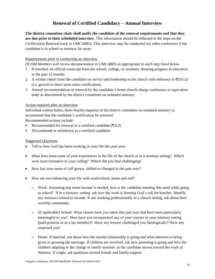## **Renewal of Certified Candidacy – Annual Interview**

<span id="page-17-0"></span>**The district committee chair shall notify the candidate of the renewal requirements and that they are due prior to their scheduled interview.** This information should be reflected in the steps on the Certification Renewal track in UMCARES. This interview may be conducted via video conference if the candidate is in school or ministry far away.

#### Requirements prior to conducting an interview

*DCOM Members will review documentation in UMCARES as appropriate to each step listed below.* 

- 1. If enrolled, an official transcript from the school, college, or seminary showing progress in education in the past 12 months.
- 2. A written report from the candidate on service and leadership in the church with reference to ¶310.2a (i.e. growth in these areas since certification)
- 3. Annual recommendation of renewal by the candidate's home church charge conference or equivalent body as determined by the district committee on ordained ministry.

#### Action required after an interview

Individual written ballot, three-fourths majority of the district committee on ordained ministry to recommend that the candidate's certification be renewed.

Recommended actions include:

- Recommended for renewal as a certified candidate (1313)
- Discontinued or withdrawn as a certified candidate

- Tell us how God has been working in your life this past year.
- What have been some of your experiences in the life of the church or in a ministry setting? Which were most formative to your calling? Which did you find challenging?
- How has your sense of call grown, shifted or changed in the past year?
- How are you balancing your life with work/school, home and self?
	- o Work: Assuming that some income is needed, how is the candidate meeting this need while going to school? If in a ministry setting, ask how the work is forming God's call for him/her. Identify any stressors related to income. If not working professionally in a church setting, ask about their worship community.
	- o (If applicable) School: What classes have you taken this past year that have been particularly meaningful to you? How have you incorporated any of your courses in your ministry setting (paid position or as a lay member)? Have any lessons challenged you theologically? Have any surprised you?
	- $\circ$  Home: If married, ask about how the marital relationship is going and what attention is being given to growing the marriage. If children are involved, ask how parenting is going and how the children adapting to the change in family dynamic as the candidate moves toward the work of ministry. If single, ask questions around friends and family support.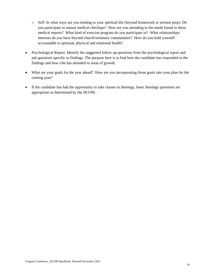- o Self: In what ways are you tending to your spiritual life (beyond homework or sermon prep). Do you participate in annual medical checkups? How are you attending to the needs found in these medical reports? What kind of exercise program do you participate in? What relationships/ interests do you have beyond church/seminary communities? How do you hold yourself accountable to spiritual, physical and relational health?
- Psychological Report: Identify the suggested follow up questions from the psychological report and ask questions specific to findings. The purpose here is to find how the candidate has responded to the findings and how s/he has attended to areas of growth.
- What are your goals for the year ahead? How are you incorporating those goals into your plan for the coming year?
- If the candidate has had the opportunity to take classes in theology, basic theology questions are appropriate as determined by the DCOM.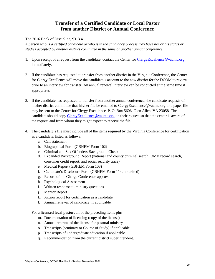## **Transfer of a Certified Candidate or Local Pastor from another District or Annual Conference**

#### <span id="page-19-0"></span>The 2016 Book of Discipline, ¶313.4

*A person who is a certified candidate or who is in the candidacy process may have her or his status or studies accepted by another district committee in the same or another annual conference.*

- 1. Upon receipt of a request from the candidate, contact the Center for [ClergyExcellence@vaumc.org](mailto:ClergyExcellence@vaumc.org) immediately.
- 2. If the candidate has requested to transfer from another district in the Virginia Conference, the Center for Clergy Excellence will move the candidate's account to the new district for the DCOM to review prior to an interview for transfer. An annual renewal interview can be conducted at the same time if appropriate.
- 3. If the candidate has requested to transfer from another annual conference, the candidate requests of his/her district committee that his/her file be emailed to ClergyExcellence@vaumc.org or a paper file may be sent to the Center for Clergy Excellence, P. O. Box 5606, Glen Allen, VA 23058. The candidate should copy [ClergyExcellence@vaumc.org](mailto:ClergyExcellence@vaumc.org) on their request so that the center is aware of the request and from whom they might expect to receive the file.
- 4. The candidate's file must include all of the items required by the Virginia Conference for certification as a candidate, listed as follows:
	- a. Call statement
	- b. Biographical Form (GBHEM Form 102)
	- c. Criminal and Sex Offenders Background Check
	- d. Expanded Background Report (national and county criminal search, DMV record search, consumer credit report, and social security trace)
	- e. Medical Report (GBHEM Form 103)
	- f. Candidate's Disclosure Form (GBHEM Form 114, notarized)
	- g. Record of the Charge Conference approval
	- h. Psychological Assessment
	- i. Written response to ministry questions
	- j. Mentor Report
	- k. Action report for certification as a candidate
	- l. Annual renewal of candidacy, if applicable.

For a **licensed local pastor**, all of the preceding items plus:

- m. Documentation of licensing (copy of the license)
- n. Annual renewal of the license for pastoral ministry
- o. Transcripts (seminary or Course of Study) if applicable
- p. Transcripts of undergraduate education if applicable
- q. Recommendation from the current district superintendent.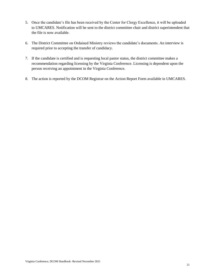- 5. Once the candidate's file has been received by the Center for Clergy Excellence, it will be uploaded to UMCARES. Notification will be sent to the district committee chair and district superintendent that the file is now available.
- 6. The District Committee on Ordained Ministry reviews the candidate's documents. An interview is required prior to accepting the transfer of candidacy.
- 7. If the candidate is certified and is requesting local pastor status, the district committee makes a recommendation regarding licensing by the Virginia Conference. Licensing is dependent upon the person receiving an appointment in the Virginia Conference.
- 8. The action is reported by the DCOM Registrar on the Action Report Form available in UMCARES.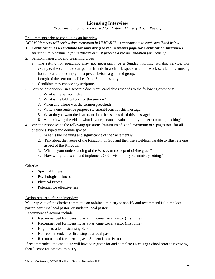## **Licensing Interview**

*Recommendation to be Licensed for Pastoral Ministry (Local Pastor)*

<span id="page-21-0"></span>Requirements prior to conducting an interview

*DCOM Members will review documentation in UMCARES as appropriate to each step listed below.* 

**1. Certification as a candidate for ministry (see requirements page for Certification Interview).**

*An action to recommend for certification must precede a recommendation for licensing.* 

- 2. Sermon manuscript and preaching video
	- a. The setting for preaching may not necessarily be a Sunday morning worship service. For example, the candidate can gather friends in a chapel, speak at a mid-week service or a nursing home—candidate simply must preach before a gathered group.
	- b. Length of the sermon shall be 10 to 15 minutes only.
	- c. Candidate may choose any scripture.
- 3. Sermon description in a separate document, candidate responds to the following questions:
	- 1. What is the sermon title?
	- 2. What is the biblical text for the sermon?
	- 3. When and where was the sermon preached?
	- 4. Write a one sentence purpose statement/focus for this message.
	- 5. What do you want the hearers to do or be as a result of this message?
	- 6. After viewing the video, what is your personal evaluation of your sermon and preaching?
- 4. Written responses to the following questions (minimum of 3 and maximum of 5 pages total for all questions, typed and double spaced):
	- 1. What is the meaning and significance of the Sacraments?
	- 2. Talk about the nature of the Kingdom of God and then use a Biblical parable to illustrate one aspect of the Kingdom.
	- 3. What is your understanding of the Wesleyan concept of divine grace?
	- 4. How will you discern and implement God's vision for your ministry setting?

#### Criteria:

- Spiritual fitness
- Psychological fitness
- Physical fitness
- Potential for effectiveness

#### Action required after an interview

Majority vote of the district committee on ordained ministry to specify and recommend full time local pastor, part time local pastor, or student\* local pastor.

Recommended actions include:

- Recommended for licensing as a Full-time Local Pastor (first time)
- Recommended for licensing as a Part-time Local Pastor (first time)
- **Eligible to attend Licensing School**
- Not recommended for licensing as a local pastor
- Recommended for licensing as a Student Local Pastor

If recommended, the candidate will have to register for and complete Licensing School prior to receiving their license for pastoral ministry.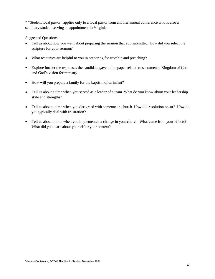\* "Student local pastor" applies only to a local pastor from another annual conference who is also a seminary student serving an appointment in Virginia.

- Tell us about how you went about preparing the sermon that you submitted. How did you select the scripture for your sermon?
- What resources are helpful to you in preparing for worship and preaching?
- Explore further the responses the candidate gave in the paper related to sacraments, Kingdom of God and God's vision for ministry.
- How will you prepare a family for the baptism of an infant?
- Tell us about a time when you served as a leader of a team. What do you know about your leadership style and strengths?
- Tell us about a time when you disagreed with someone in church. How did resolution occur? How do you typically deal with frustration?
- Tell us about a time when you implemented a change in your church. What came from your efforts? What did you learn about yourself or your context?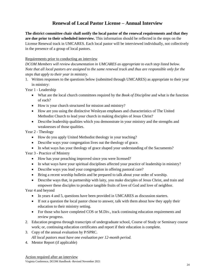## **Renewal of Local Pastor License – Annual Interview**

<span id="page-23-0"></span>**The district committee chair shall notify the local pastor of the renewal requirements and that they are due prior to their scheduled interview.** This information should be reflected in the steps on the License Renewal track in UMCARES. Each local pastor will be interviewed individually, not collectively in the presence of a group of local pastors.

#### Requirements prior to conducting an interview

*DCOM Members will review documentation in UMCARES as appropriate to each step listed below. Note that all local pastors are assigned to the same renewal track and thus are responsible only for the steps that apply to their year in ministry.* 

1. Written responses to the questions below (submitted through UMCARES) as appropriate to their year in ministry:

Year 1 - Leadership

- What are the local church committees required by the *Book of Discipline* and what is the function of each?
- How is your church structured for mission and ministry?
- How are you using the distinctive Wesleyan emphases and characteristics of The United Methodist Church to lead your church in making disciples of Jesus Christ?
- Describe leadership qualities which you demonstrate in your ministry and the strengths and weaknesses of those qualities.

Year 2 - Theology

- How do you apply United Methodist theology in your teaching?
- Describe ways your congregation lives out the theology of grace.
- In what ways has your theology of grace shaped your understanding of the Sacraments?

Year 3 - Practice of Ministry

- How has your preaching improved since you were licensed?
- In what ways have your spiritual disciplines affected your practice of leadership in ministry?
- Describe ways you lead your congregation in offering pastoral care?
- Bring a recent worship bulletin and be prepared to talk about your order of worship.
- Describe ways that, in partnership with laity, you make disciples of Jesus Christ, and train and empower these disciples to produce tangible fruits of love of God and love of neighbor.

Year 4 and beyond

- In years 4 and 5, questions have been provided in UMCARES as discussion starters.
- If not a question the local pastor chose to answer, talk with them about how they apply their education to their ministry setting.
- For those who have completed COS or M.Div., track continuing education requirements and review progress.
- 2. Education progress through transcripts of undergraduate school, Course of Study or Seminary course work; or, continuing education certificates and report if their education is complete.
- 3. Copy of the annual evaluation by P/SPRC. *All local pastors must have one evaluation per 12-month period.*
- 4. Mentor Report (if applicable)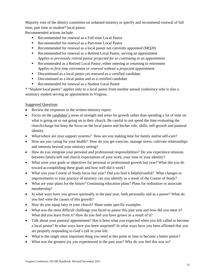Majority vote of the district committee on ordained ministry to specify and recommend renewal of full time, part time or student\* local pastor.

Recommended actions include:

- Recommended for renewal as a Full-time Local Pastor
- Recommended for renewal as a Part-time Local Pastor
- Recommended for renewal as a local pastor not currently appointed (MQ20)
- Recommended for renewal as a Retired Local Pastor, serving an appointment *Applies to previously retired pastor projected for or continuing in an appointment*
- Recommended as a Retired Local Pastor, either entering or returning to retirement *Applies to first time retirement or renewal without a projected appointment*
- Discontinued as a local pastor yet renewed as a certified candidate
- Discontinued as a local pastor and as a certified candidate
- Recommended for renewal as a Student Local Pastor

\* "Student local pastor" applies only to a local pastor from another annual conference who is also a seminary student serving an appointment in Virginia.

- Review the responses in the written ministry report.
- Focus on the candidate's areas of strength and areas for growth rather than spending a lot of time on what is going on or not going on in their church. Be careful to not spend the time evaluating the church/charge but keep the focus on the local pastor and his/her role, skills, self-growth and pastoral identity.
- What/where are your support systems? How are you making time for family and/or self-care?
- How are you caring for your health? How do you get exercise, manage stress, cultivate relationships and interests beyond your ministry setting?
- How do you integrate your personal and professional responsibilities? Do you experience tensions between family/self and church expectations of your work, your time or your identity?
- What were your goals or objectives for personal or professional growth last year? What did you do toward accomplishing these goals and how well did it work?
- What was your Course of Study focus last year? Did you find it helpful/useful? What changes or improvements to your practice of ministry can you identify as a result of the Course of Study?
- What are your plans for the future? Continuing education plans? Plans for ordination or associate membership?
- In what ways have you grown spiritually in the past year, both personally and as a pastor? What do you feel were the causes of this growth?
- How do you equip laity in your church? Share some specific examples.
- What was the most difficult challenge you faced as pastor this past year and how did you meet it? What did you learn from it? How do you feel you have grown as a result of it?
- Talk about your pastoral appointment? Has it been what you expected when you felt called to become a local pastor? In what ways have you been surprised? In what ways have you been affirmed that you are properly responding to God's call in your life.
- What is the single most important thing you need at this point in time to become a better pastor?
- What was the greatest joy you experienced in the past year? Why do you feel this was so?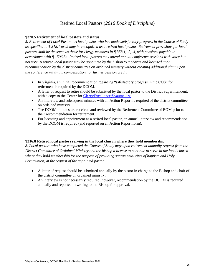## Retired Local Pastors (*2016 Book of Discipline*)

#### <span id="page-25-0"></span>**¶320.5 Retirement of local pastors and status**

*5. Retirement of Local Pastor—A local pastor who has made satisfactory progress in the Course of Study as specified in ¶ 318.1 or .2 may be recognized as a retired local pastor. Retirement provisions for local pastors shall be the same as those for clergy members in ¶ 358.1, .2, .4, with pensions payable in accordance with ¶ 1506.5a. Retired local pastors may attend annual conference sessions with voice but not vote. A retired local pastor may be appointed by the bishop to a charge and licensed upon recommendation by the district committee on ordained ministry without creating additional claim upon the conference minimum compensation nor further pension credit.*

- In Virginia, an initial recommendation regarding "satisfactory progress in the COS" for retirement is required by the DCOM.
- A letter of request to retire should be submitted by the local pastor to the District Superintendent, with a copy to the Center for [ClergyExcellence@vaumc.org.](mailto:ClergyExcellence@vaumc.org)
- An interview and subsequent minutes with an Action Report is required of the district committee on ordained ministry.
- The DCOM minutes are received and reviewed by the Retirement Committee of BOM prior to their recommendation for retirement.
- For licensing and appointment as a retired local pastor, an annual interview and recommendation by the DCOM is required (and reported on an Action Report form).

#### **¶316.8 Retired local pastors serving in the local church where they hold membership**

*8. Local pastors who have completed the Course of Study may upon retirement annually request from the District Committee of Ordained Ministry and the bishop a license to continue to serve in the local church where they hold membership for the purpose of providing sacramental rites of baptism and Holy Communion, at the request of the appointed pastor.*

- A letter of request should be submitted annually by the pastor in charge to the Bishop and chair of the district committee on ordained ministry.
- An interview is not necessarily required; however, recommendation by the DCOM is required annually and reported in writing to the Bishop for approval.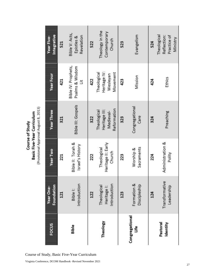| FOCUS                     |     | Bible                                       |     | Theology                                                 |     | Congregational<br>Life      |     | Pastoral<br>Identity                                  |
|---------------------------|-----|---------------------------------------------|-----|----------------------------------------------------------|-----|-----------------------------|-----|-------------------------------------------------------|
| Foundation<br>Year One-   | 121 | Introduction<br>Bible I:                    | 122 | Introduction<br>Theological<br>Heritage I:               | 123 | Formation &<br>Discipleship | 124 | Transformative<br>Leadership                          |
| Year Two                  | 221 | Bible II: Torah &<br>Israel's History       | 222 | Heritage II: Early<br>Theological<br>Church              | 223 | Sacraments<br>Worship &     | 224 | Administration &<br>Polity                            |
| <b>Year Three</b>         | 321 | <b>Bible III: Gospels</b>                   | 322 | Reformation<br>Heritage III:<br>Theological<br>Medieval- | 323 | Congregational<br>Care      | 324 | Preaching                                             |
| <b>Year Four</b>          | 421 | Bible IV: Prophets,<br>Psalms & Wisdom<br>ä | 422 | Heritage IV:<br>Theological<br>Movement<br>Wesleyan      | 423 | Mission                     | 424 | Ethics                                                |
| Integrative<br>Year Five- | 521 | Bible V: Acts,<br>Revelation<br>Epistles &  | 522 | Theology in the<br>Contemporary<br>Church                | 523 | Evangelism                  | 524 | Theological<br>Reflection:<br>Practice of<br>Ministry |

**Course of Study<br>Basic Five-Year Curriculum**<br>(Provisional Approval August 8, 2013)

<span id="page-26-0"></span>Course of Study, Basic Five -Year Curriculum

Virginia Conference, DCOM Handbook -Revised November 2021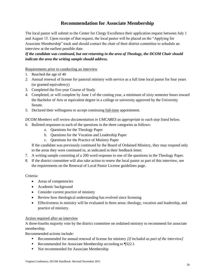## **Recommendation for Associate Membership**

<span id="page-27-0"></span>The local pastor will submit to the Center for Clergy Excellence their application request between July 1 and August 15. Upon receipt of that request, the local pastor will be placed on the "Applying for Associate Membership" track and should contact the chair of their district committee to schedule an interview at the earliest possible date.

*If the candidate was continued, but not returning in the area of Theology, the DCOM Chair should indicate the area the writing sample should address.*

#### Requirements prior to conducting an interview

- 1. Reached the age of 40
- *2.* Annual renewal of license for pastoral ministry with service as a full time local pastor for four years (or granted equivalency)
- 3. Completed the five-year Course of Study
- 4. Completed, or will complete by June 1 of the coming year, a minimum of sixty semester hours toward the Bachelor of Arts or equivalent degree in a college or university approved by the University Senate.
- 5. Declared their willingness to accept continuing full-time appointment.

#### *DCOM Members will review documentation in UMCARES as appropriate to each step listed below.*

- 6. Bulleted responses to each of the questions in the three categories as follows:
	- a. Questions for the Theology Paper
	- b. Questions for the Vocation and Leadership Paper
	- c. Questions for the Practice of Ministry Paper

If the candidate was previously continued by the Board of Ordained Ministry, they may respond only to the areas they were continued in, as indicated in their feedback letter.

- 7. A writing sample consisting of a 200 word response to one of the questions in the Theology Paper.
- 8. If the district committee will also take action to renew the local pastor as part of this interview, see the requirements on the Renewal of Local Pastor License guidelines page.

#### Criteria:

- Areas of competencies
- Academic background
- Consider current practice of ministry
- Review how theological understanding has evolved since licensing
- Effectiveness in ministry will be evaluated in three areas: theology, vocation and leadership, and practice of ministry.

#### Action required after an interview

A three-fourths majority vote by the district committee on ordained ministry to recommend for associate membership.

Recommended actions include:

- Recommended for annual renewal of license for ministry *[if included as part of the interview]*
- Recommended for Associate Membership according to [322.1]
- Not recommended for Associate Membership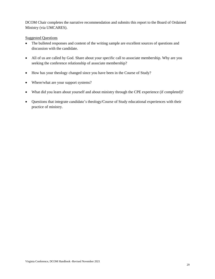DCOM Chair completes the narrative recommendation and submits this report to the Board of Ordained Ministry (via UMCARES).

- The bulleted responses and content of the writing sample are excellent sources of questions and discussion with the candidate.
- All of us are called by God. Share about your specific call to associate membership. Why are you seeking the conference relationship of associate membership?
- How has your theology changed since you have been in the Course of Study?
- Where/what are your support systems?
- What did you learn about yourself and about ministry through the CPE experience (if completed)?
- Questions that integrate candidate's theology/Course of Study educational experiences with their practice of ministry.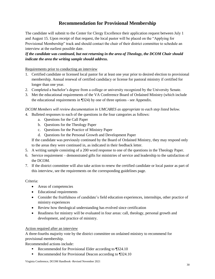## **Recommendation for Provisional Membership**

<span id="page-29-0"></span>The candidate will submit to the Center for Clergy Excellence their application request between July 1 and August 15. Upon receipt of that request, the local pastor will be placed on the "Applying for Provisional Membership" track and should contact the chair of their district committee to schedule an interview at the earliest possible date.

*If the candidate was continued, but not returning in the area of Theology, the DCOM Chair should indicate the area the writing sample should address.*

#### Requirements prior to conducting an interview

- 1. Certified candidate or licensed local pastor for at least one year prior to desired election to provisional membership. Annual renewal of certified candidacy or license for pastoral ministry if certified for longer than one year.
- 2. Completed a bachelor's degree from a college or university recognized by the University Senate.
- 3. Met the educational requirements of the VA Conference Board of Ordained Ministry (which include the educational requirements in ¶324) by one of three options - see Appendix.

*DCOM Members will review documentation in UMCARES as appropriate to each step listed below.* 

- 4. Bulleted responses to each of the questions in the four categories as follows:
	- a. Questions for the Call Paper
	- b. Questions for the Theology Paper
	- c. Questions for the Practice of Ministry Paper
	- d. Questions for the Personal Growth and Development Paper

If the candidate was previously continued by the Board of Ordained Ministry, they may respond only to the areas they were continued in, as indicated in their feedback letter.

- 5. A writing sample consisting of a 200 word response to one of the questions in the Theology Paper.
- 6. Service requirement demonstrated gifts for ministries of service and leadership to the satisfaction of the DCOM.
- 7. If the district committee will also take action to renew the certified candidate or local pastor as part of this interview, see the requirements on the corresponding guidelines page.

#### Criteria:

- Areas of competencies
- Educational requirements
- Consider the fruitfulness of candidate's field education experiences, internships, other practice of ministry experiences
- Review how theological understanding has evolved since certification
- Readiness for ministry will be evaluated in four areas: call, theology, personal growth and development, and practice of ministry.

#### Action required after an interview

A three-fourths majority vote by the district committee on ordained ministry to recommend for provisional membership.

Recommended actions include:

- Recommended for Provisional Elder according to 1324.10
- Recommended for Provisional Deacon according to  $$324.10$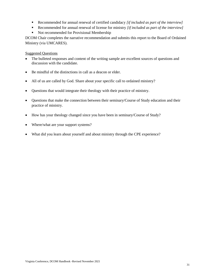- Recommended for annual renewal of certified candidacy *[if included as part of the interview]*
- Recommended for annual renewal of license for ministry *[if included as part of the interview]*
- Not recommended for Provisional Membership

DCOM Chair completes the narrative recommendation and submits this report to the Board of Ordained Ministry (via UMCARES).

- The bulleted responses and content of the writing sample are excellent sources of questions and discussion with the candidate.
- Be mindful of the distinctions in call as a deacon or elder.
- All of us are called by God. Share about your specific call to ordained ministry?
- Questions that would integrate their theology with their practice of ministry.
- Questions that make the connection between their seminary/Course of Study education and their practice of ministry.
- How has your theology changed since you have been in seminary/Course of Study?
- Where/what are your support systems?
- What did you learn about yourself and about ministry through the CPE experience?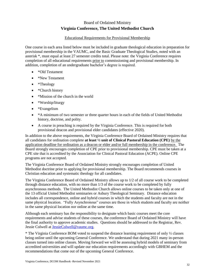## Board of Ordained Ministry **Virginia Conference, The United Methodist Church**

#### Educational Requirements for Provisional Membership

<span id="page-31-0"></span>One course in each area listed below must be included in graduate theological education in preparation for provisional membership in the VAUMC, and the Basic Graduate Theological Studies, noted with an asterisk \*, must equal at least 27 semester credits total. Please note: the Virginia Conference requires completion of all educational requirements prior to commissioning and provisional membership. In addition, completion of an undergraduate bachelor's degree is required.

- \*Old Testament
- \*New Testament
- \*Theology
- \*Church history
- \*Mission of the church in the world
- \*Worship/liturgy
- \*Evangelism
- \*A minimum of two semester or three quarter hours in each of the fields of United Methodist history, doctrine, and polity.
- A course in preaching is required by the Virginia Conference. This is required for both provisional deacon and provisional elder candidates (effective 2020).

In addition to the above requirements, the Virginia Conference Board of Ordained Ministry requires that all candidates for ordination complete **at least ½ unit of Clinical Pastoral Education (CPE)** by the application deadline for ordination as a deacon or elder and/or full membership in the conference. The Board strongly encourages completion of CPE prior to provisional membership. CPE must be taken at a CPE site that is accredited by the Association for Clinical Pastoral Education (ACPE). Online CPE programs are not accepted.

The Virginia Conference Board of Ordained Ministry strongly encourages completion of United Methodist doctrine prior to applying for provisional membership. The Board recommends courses in Christian education and systematic theology for all candidates.

The Virginia Conference Board of Ordained Ministry allows up to 1/2 of all course work to be completed through distance education, with no more than 1/3 of the course work to be completed by fully asynchronous methods. The United Methodist Church allows online courses to be taken only at one of the 13 official United Methodist seminaries or Asbury Theological Seminary. Distance education includes all correspondence, online and hybrid courses in which the students and faculty are not in the same physical location. "Fully Asynchronous" courses are those in which students and faculty are neither in the same physical location nor online at the same time.

Although each seminary has the responsibility to designate which basic courses meet the core requirements and advise students of these courses, the conference Board of Ordained Ministry will have the final authority to approve academic studies. Questions should be addressed to the Registrar, Rev. Jessie Colwell a[t JessieColwell@vaumc.org.](mailto:JessieColwell@vaumc.org)

\* The Virginia Conference BOM voted to suspend the distance learning requirement of only ½ classes being online until the upcoming General Conference. We understand that during 2021 many in-person classes turned into online classes. Moving forward we will be assessing hybrid models of seminary from accredited universities and will update our education requirements accordingly with GBHEM and the recommendations that come out of the upcoming General Conference.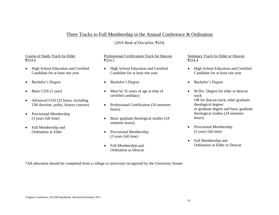## Three Tracks to Full Membership in the Annual Conference & Ordination

(*2016 Book of Discipline*, ¶324)

#### Course of Study Track for Elder ¶324.6

- High School Education and Certified Candidate for at least one year
- Bachelor's Degree
- Basic COS (5 year)
- <span id="page-32-0"></span>• Advanced COS (32 hours, including UM doctrine, polity, history courses)
- Provisional Membership (3 years full time)
- Full Membership and Ordination as Elder

#### Professional Certification Track for Deacon ¶324.5

- High School Education and Certified Candidate for at least one year
- Bachelor's Degree
- Must be 35 years of age at time of certified candidacy
- Professional Certification (10 semester hours)
- Basic graduate theological studies (24) semester hours)
- Provisional Membership (3 years full time)
- Full Membership and Ordination as Deacon

#### Seminary Track for Elder or Deacon ¶324.4

- High School Education and Certified Candidate for at least one year
- Bachelor's Degree
- M.Div. Degree for elder or deacon track OR for deacon track, other graduate theological degree/ or graduate degree and basic graduate theological studies (24 semester hours)
- Provisional Membership (3 years full time)
- Full Membership and Ordination as Elder or Deacon

\*All education should be completed from a college or university recognized by the University Senate.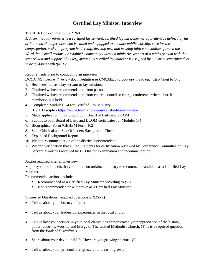## **Certified Lay Minister Interview**

#### <span id="page-33-0"></span>The 2016 Book of Discipline, ¶268

*1. A certified lay minister is a certified lay servant, certified lay missioner, or equivalent as defined by his or her central conference, who is called and equipped to conduct public worship, care for the congregation, assist in program leadership, develop new and existing faith communities, preach the Word, lead small groups, or establish community outreach ministries as part of a ministry team with the supervision and support of a clergyperson. A certified lay minister is assigned by a district superintendent in accordance with ¶419.2.*

#### Requirements prior to conducting an interview

*DCOM Members will review documentation in UMCARES as appropriate to each step listed below.* 

- 1. Been certified as a lay servant or lay missioner
- 2. Obtained written recommendation from pastor
- 3. Obtained written recommendation from church council or charge conference where church membership is held
- 4. Completed Modules 1-4 for Certified Lay Ministry (Be A Disciple - [https://www.beadisciple.com/certified-lay-ministry/\)](https://www.beadisciple.com/certified-lay-ministry/)
- 5. Made application in writing to both Board of Laity and DCOM
- 6. Submit to both Board of Laity and DCOM certificates for Modules 1-4
- 7. Biographical Form (GBHEM Form 102)
- 8. State Criminal and Sex Offenders Background Check
- 9. Expanded Background Report
- 10. Written recommendation of the district superintendent
- 11. Written verification that all requirements for certification reviewed by Conference Committee on Lay Servant Ministries received by DCOM for examination and recommendation

#### Action required after an interview

Majority vote of the district committee on ordained ministry to recommend candidate as a Certified Lay Minister.

Recommended actions include:

- Recommended as a Certified Lay Minister according to ¶268
- Not recommended or withdrawn as a Certified Lay Minister

#### Suggested Questions (required questions in ¶266.2)

- Tell us about your journey of faith.
- Tell us about your leadership experiences in the local church.
- Tell us how your service in your local church has demonstrated your appreciation of the history, polity, doctrine, worship and liturgy of The United Methodist Church. (This is a required question from the *Book of Discipline*.)
- Share about your devotional life. How are you growing spiritually?
- Tell us about your personal strengths…your areas of growth.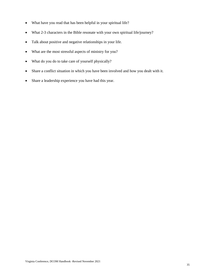- What have you read that has been helpful in your spiritual life?
- What 2-3 characters in the Bible resonate with your own spiritual life/journey?
- Talk about positive and negative relationships in your life.
- What are the most stressful aspects of ministry for you?
- What do you do to take care of yourself physically?
- Share a conflict situation in which you have been involved and how you dealt with it.
- Share a leadership experience you have had this year.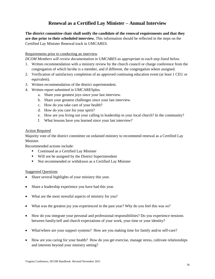## **Renewal as a Certified Lay Minister – Annual Interview**

<span id="page-35-0"></span>**The district committee chair shall notify the candidate of the renewal requirements and that they are due prior to their scheduled interview.** This information should be reflected in the steps on the Certified Lay Minister Renewal track in UMCARES.

#### Requirements prior to conducting an interview

*DCOM Members will review documentation in UMCARES as appropriate to each step listed below.* 

- 1. Written recommendation with a ministry review by the church council or charge conference from the congregation of which he/she is a member, and if different, the congregation where assigned.
- 2. Verification of satisfactory completion of an approved continuing education event (at least 1 CEU or equivalent).
- 3. Written recommendation of the district superintendent.
- 4. Written report submitted in UMCARESplus
	- a. Share your greatest joys since your last interview.
	- b. Share your greatest challenges since your last interview.
	- c. How do you take care of your health?
	- d. How do you care for your spirit?
	- e. How are you living out your calling in leadership in your local church? In the community?
	- f. What lessons have you learned since your last interview?

#### Action Required

Majority vote of the district committee on ordained ministry to recommend renewal as a Certified Lay **Minister** 

Recommended actions include:

- Continued as a Certified Lay Minister
- Will not be assigned by the District Superintendent
- Not recommended or withdrawn as a Certified Lay Minister

- Share several highlights of your ministry this year.
- Share a leadership experience you have had this year.
- What are the most stressful aspects of ministry for you?
- What was the greatest joy you experienced in the past year? Why do you feel this was so?
- How do you integrate your personal and professional responsibilities? Do you experience tensions between family/self and church expectations of your work, your time or your identity?
- What/where are your support systems? How are you making time for family and/or self-care?
- How are you caring for your health? How do you get exercise, manage stress, cultivate relationships and interests beyond your ministry setting?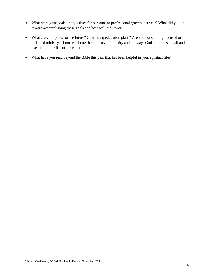- What were your goals or objectives for personal or professional growth last year? What did you do toward accomplishing these goals and how well did it work?
- What are your plans for the future? Continuing education plans? Are you considering licensed or ordained ministry? If not, celebrate the ministry of the laity and the ways God continues to call and use them in the life of the church.
- What have you read beyond the Bible this year that has been helpful in your spiritual life?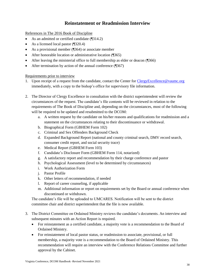## **Reinstatement or Readmission Interview**

<span id="page-37-0"></span>References in The 2016 Book of Discipline

- As an admitted or certified candidate (¶314.2)
- As a licensed local pastor (¶320.4)
- As a provisional member (¶364) or associate member
- After honorable location or administrative location (¶365)
- After leaving the ministerial office to full membership as elder or deacon (¶366)
- After termination by action of the annual conference (¶367)

#### Requirements prior to interview

- 1. Upon receipt of a request from the candidate, contact the Center for ClergyExcellence@vaumc.org immediately, with a copy to the bishop's office for supervisory file information.
- 2. The Director of Clergy Excellence in consultation with the district superintendent will review the circumstances of the request. The candidate's file contents will be reviewed in relation to the requirements of The Book of Discipline and, depending on the circumstances, most of the following will be required to be updated and resubmitted to the DCOM:
	- a. A written request by the candidate on his/her reasons and qualifications for readmission and a statement on the circumstances relating to their discontinuance or withdrawal.
	- b. Biographical Form (GBHEM Form 102)
	- c. Criminal and Sex Offenders Background Check
	- d. Expanded Background Report (national and county criminal search, DMV record search, consumer credit report, and social security trace)
	- e. Medical Report (GBHEM Form 103)
	- f. Candidate's Disclosure Form (GBHEM Form 114, notarized)
	- g. A satisfactory report and recommendation by their charge conference and pastor
	- h. Psychological Assessment (level to be determined by circumstances)
	- i. Work Authorization Form
	- j. Pastor Profile
	- k. Other letters of recommendation, if needed
	- l. Report of career counseling, if applicable
	- m. Additional information or report on requirements set by the Board or annual conference when discontinued or withdrawn.

The candidate's file will be uploaded to UMCARES. Notification will be sent to the district committee chair and district superintendent that the file is now available.

- 3. The District Committee on Ordained Ministry reviews the candidate's documents. An interview and subsequent minutes with an Action Report is required.
	- For reinstatement as a certified candidate, a majority vote is a recommendation to the Board of Ordained Ministry.
	- For reinstatement of local pastor status, or readmission to associate, provisional, or full membership, a majority vote is a recommendation to the Board of Ordained Ministry. This recommendation will require an interview with the Conference Relations Committee and further approval by the Cabinet.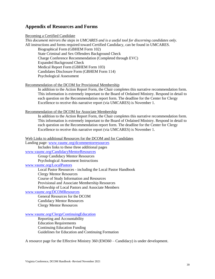### <span id="page-38-0"></span>**Appendix of Resources and Forms**

#### Becoming a Certified Candidate

*This document mirrors the steps in UMCARES and is a useful tool for discerning candidates only.*  All instructions and forms required toward Certified Candidacy, can be found in UMCARES. Biographical Form (GBHEM Form 102) State Criminal and Sex Offenders Background Check Charge Conference Recommendation (Completed through EVC) Expanded Background Check Medical Report Form (GBHEM Form 103) Candidates Disclosure Form (GBHEM Form 114) Psychological Assessment

### Recommendation of the DCOM for Provisional Membership

In addition to the Action Report Form, the Chair completes this narrative recommendation form. This information is extremely important to the Board of Ordained Ministry. Respond in detail to each question on the Recommendation report form. The deadline for the Center for Clergy Excellence to receive this narrative report (via UMCARES) is November 1.

Recommendation of the DCOM for Associate Membership

In addition to the Action Report Form, the Chair completes this narrative recommendation form. This information is extremely important to the Board of Ordained Ministry. Respond in detail to each question on the Recommendation report form. The deadline for the Center for Clergy Excellence to receive this narrative report (via UMCARES) is November 1.

Web Links to additional Resources for the DCOM and for Candidates

Landing page: [www.vaumc.org/dcommentorresources](http://www.vaumc.org/dcommentorresources/)

Includes links to these three additional pages [www.vaumc.org/CandidacyMentorResources](http://www.vaumc.org/CandidacyMentorResources)

Group Candidacy Mentor Resources

Psychological Assessment Instructions

#### [www.vaumc.org/LocalPastors](http://www.vaumc.org/LocalPastors)

Local Pastor Resources - including the Local Pastor Handbook Clergy Mentor Resources Course of Study Information and Resources

Provisional and Associate Membership Resources

Fellowship of Local Pastors and Associate Members

#### [www.vaumc.org/DCOMResources](http://www.vaumc.org/DCOMResources)

General Resources for the DCOM Candidacy Mentor Resources Clergy Mentor Resources

#### [www.vaumc.org/ClergyContinuingEducation](http://www.vaumc.org/ClergyContinuingEducation)

Reporting and Accountability Education Requirements Continuing Education Funding Guidelines for Education and Continuing Formation

A resource page for the Effective Ministry 360 (EM360 – Candidacy) is under development.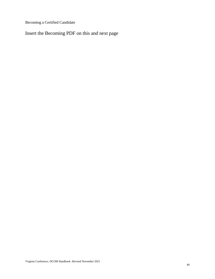Becoming a Certified Candidate

Insert the Becoming PDF on this and next page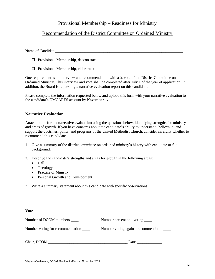## Provisional Membership – Readiness for Ministry

## Recommendation of the District Committee on Ordained Ministry

Name of Candidate

- $\Box$  Provisional Membership, deacon track
- $\Box$  Provisional Membership, elder track

One requirement is an interview and recommendation with a ¾ vote of the District Committee on Ordained Ministry. This interview and vote shall be completed after July 1 of the year of application. In addition, the Board is requesting a narrative evaluation report on this candidate.

Please complete the information requested below and upload this form with your narrative evaluation to the candidate's UMCARES account by **November 1.**

#### **Narrative Evaluation**

Attach to this form a **narrative evaluation** using the questions below, identifying strengths for ministry and areas of growth. If you have concerns about the candidate's ability to understand, believe in, and support the doctrines, polity, and programs of the United Methodist Church, consider carefully whether to recommend this candidate.

- 1. Give a summary of the district committee on ordained ministry's history with candidate or file background.
- 2. Describe the candidate's strengths and areas for growth in the following areas:
	- Call
	- Theology
	- Practice of Ministry
	- Personal Growth and Development
- 3. Write a summary statement about this candidate with specific observations.

#### **Vote**

| Number of DCOM members _         | Number present and voting _____      |
|----------------------------------|--------------------------------------|
| Number voting for recommendation | Number voting against recommendation |
|                                  |                                      |

| Chair, DCOM<br>$C1$ and $C1$ | Jate |  |
|------------------------------|------|--|
|                              |      |  |